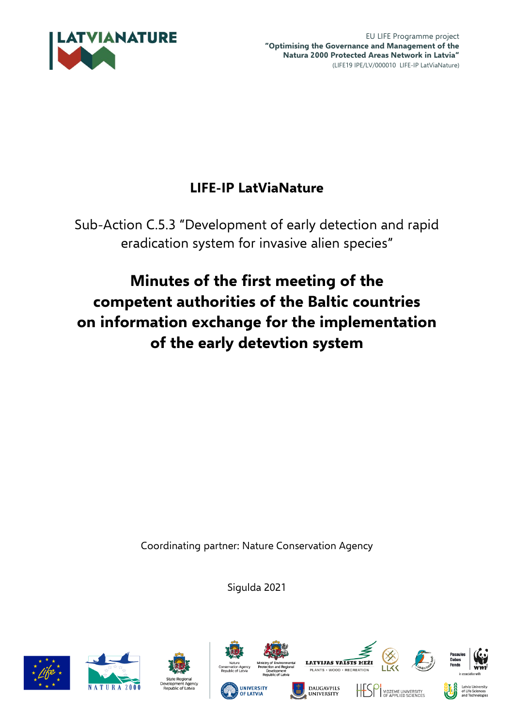

EU LIFE Programme project **"Optimising the Governance and Management of the Natura 2000 Protected Areas Network in Latvia"** (LIFE19 IPE/LV/000010 LIFE-IP LatViaNature)

# **LIFE-IP LatViaNature**

Sub-Action C.5.3 "Development of early detection and rapid eradication system for invasive alien species"

# **Minutes of the first meeting of the competent authorities of the Baltic countries on information exchange for the implementation of the early detevtion system**

Coordinating partner: Nature Conservation Agency

Sigulda 2021















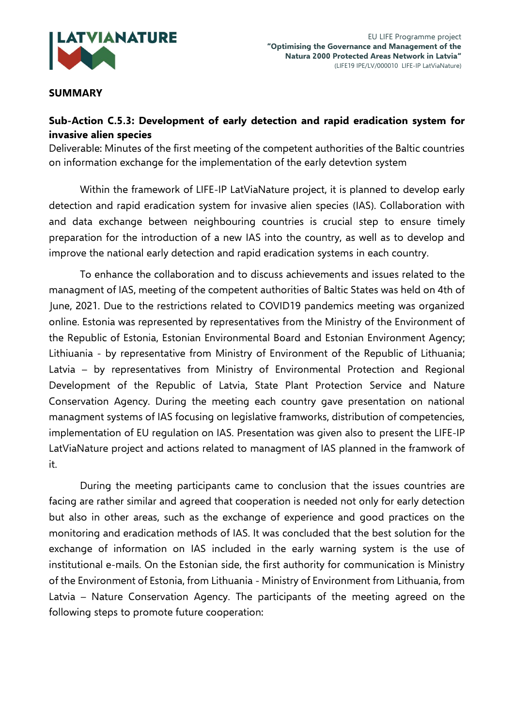

### **SUMMARY**

# **Sub-Action C.5.3: Development of early detection and rapid eradication system for invasive alien species**

Deliverable: Minutes of the first meeting of the competent authorities of the Baltic countries on information exchange for the implementation of the early detevtion system

Within the framework of LIFE-IP LatViaNature project, it is planned to develop early detection and rapid eradication system for invasive alien species (IAS). Collaboration with and data exchange between neighbouring countries is crucial step to ensure timely preparation for the introduction of a new IAS into the country, as well as to develop and improve the national early detection and rapid eradication systems in each country.

To enhance the collaboration and to discuss achievements and issues related to the managment of IAS, meeting of the competent authorities of Baltic States was held on 4th of June, 2021. Due to the restrictions related to COVID19 pandemics meeting was organized online. Estonia was represented by representatives from the Ministry of the Environment of the Republic of Estonia, Estonian Environmental Board and Estonian Environment Agency; Lithiuania - by representative from Ministry of Environment of the Republic of Lithuania; Latvia – by representatives from Ministry of Environmental Protection and Regional Development of the Republic of Latvia, State Plant Protection Service and Nature Conservation Agency. During the meeting each country gave presentation on national managment systems of IAS focusing on legislative framworks, distribution of competencies, implementation of EU regulation on IAS. Presentation was given also to present the LIFE-IP LatViaNature project and actions related to managment of IAS planned in the framwork of it.

During the meeting participants came to conclusion that the issues countries are facing are rather similar and agreed that cooperation is needed not only for early detection but also in other areas, such as the exchange of experience and good practices on the monitoring and eradication methods of IAS. It was concluded that the best solution for the exchange of information on IAS included in the early warning system is the use of institutional e-mails. On the Estonian side, the first authority for communication is Ministry of the Environment of Estonia, from Lithuania - Ministry of Environment from Lithuania, from Latvia – Nature Conservation Agency. The participants of the meeting agreed on the following steps to promote future cooperation: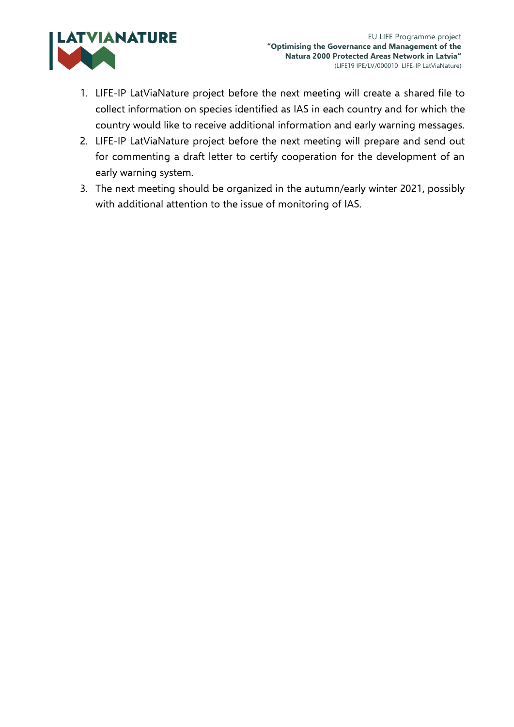

- 1. LIFE-IP LatViaNature project before the next meeting will create a shared file to collect information on species identified as IAS in each country and for which the country would like to receive additional information and early warning messages.
- 2. LIFE-IP LatViaNature project before the next meeting will prepare and send out for commenting a draft letter to certify cooperation for the development of an early warning system.
- 3. The next meeting should be organized in the autumn/early winter 2021, possibly with additional attention to the issue of monitoring of IAS.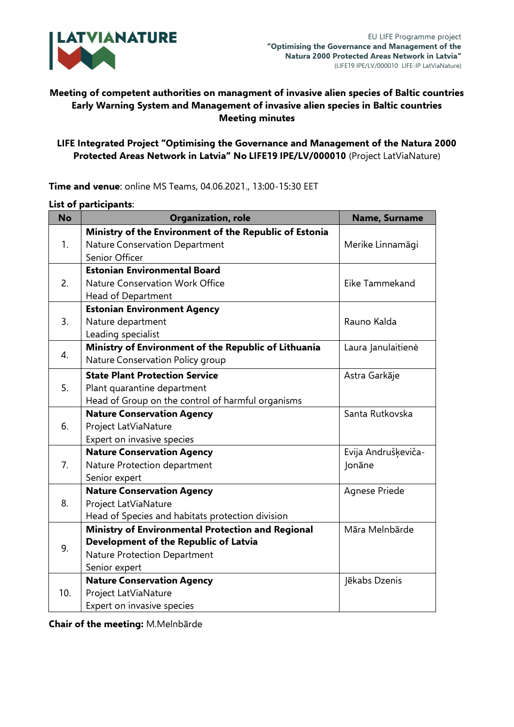

# **Meeting of competent authorities on managment of invasive alien species of Baltic countries Early Warning System and Management of invasive alien species in Baltic countries Meeting minutes**

# **LIFE Integrated Project "Optimising the Governance and Management of the Natura 2000 Protected Areas Network in Latvia" No LIFE19 IPE/LV/000010** (Project LatViaNature)

| <b>No</b>        | <b>Organization, role</b>                              | Name, Surname       |
|------------------|--------------------------------------------------------|---------------------|
| $\mathbf{1}$ .   | Ministry of the Environment of the Republic of Estonia |                     |
|                  | Nature Conservation Department                         | Merike Linnamägi    |
|                  | Senior Officer                                         |                     |
| 2.               | <b>Estonian Environmental Board</b>                    |                     |
|                  | Nature Conservation Work Office                        | Eike Tammekand      |
|                  | Head of Department                                     |                     |
| $\overline{3}$ . | <b>Estonian Environment Agency</b>                     |                     |
|                  | Nature department                                      | Rauno Kalda         |
|                  | Leading specialist                                     |                     |
| $\overline{4}$ . | Ministry of Environment of the Republic of Lithuania   | Laura Janulaitienė  |
|                  | Nature Conservation Policy group                       |                     |
| 5.               | <b>State Plant Protection Service</b>                  | Astra Garkāje       |
|                  | Plant quarantine department                            |                     |
|                  | Head of Group on the control of harmful organisms      |                     |
| 6.               | <b>Nature Conservation Agency</b>                      | Santa Rutkovska     |
|                  | Project LatViaNature                                   |                     |
|                  | Expert on invasive species                             |                     |
| 7.               | <b>Nature Conservation Agency</b>                      | Evija Andrušķeviča- |
|                  | Nature Protection department                           | Jonāne              |
|                  | Senior expert                                          |                     |
| 8.               | <b>Nature Conservation Agency</b>                      | Agnese Priede       |
|                  | Project LatViaNature                                   |                     |
|                  | Head of Species and habitats protection division       |                     |
| 9.               | Ministry of Environmental Protection and Regional      | Māra Melnbārde      |
|                  | Development of the Republic of Latvia                  |                     |
|                  | Nature Protection Department                           |                     |
|                  | Senior expert                                          |                     |
| 10.              | <b>Nature Conservation Agency</b>                      | Jēkabs Dzenis       |
|                  | Project LatViaNature                                   |                     |
|                  | Expert on invasive species                             |                     |

**Time and venue**: online MS Teams, 04.06.2021., 13:00-15:30 EET

#### **List of participants**:

**Chair of the meeting:** M.Melnbārde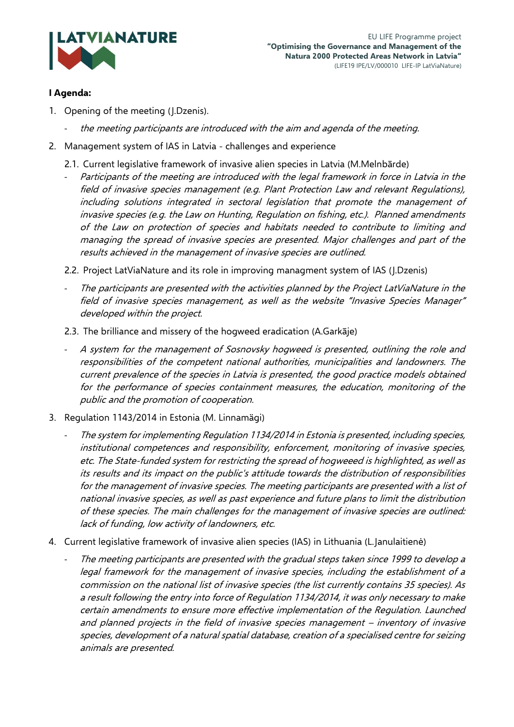

### **I Agenda:**

- 1. Opening of the meeting (J.Dzenis).
	- the meeting participants are introduced with the aim and agenda of the meeting.
- 2. Management system of IAS in Latvia challenges and experience
	- 2.1. Current legislative framework of invasive alien species in Latvia (M.Melnbārde)
	- Participants of the meeting are introduced with the legal framework in force in Latvia in the field of invasive species management (e.g. Plant Protection Law and relevant Regulations), including solutions integrated in sectoral legislation that promote the management of invasive species (e.g. the Law on Hunting, Regulation on fishing, etc.). Planned amendments of the Law on protection of species and habitats needed to contribute to limiting and managing the spread of invasive species are presented. Major challenges and part of the results achieved in the management of invasive species are outlined.
	- 2.2. Project LatViaNature and its role in improving managment system of IAS (J.Dzenis)
	- The participants are presented with the activities planned by the Project LatViaNature in the field of invasive species management, as well as the website "Invasive Species Manager" developed within the project.
	- 2.3. The brilliance and missery of the hogweed eradication (A.Garkāje)
	- A system for the management of Sosnovsky hogweed is presented, outlining the role and responsibilities of the competent national authorities, municipalities and landowners. The current prevalence of the species in Latvia is presented, the good practice models obtained for the performance of species containment measures, the education, monitoring of the public and the promotion of cooperation.
- 3. Regulation 1143/2014 in Estonia (M. Linnamägi)
	- The system for implementing Regulation 1134/2014 in Estonia is presented, including species, institutional competences and responsibility, enforcement, monitoring of invasive species, etc. The State-funded system for restricting the spread of hogweeed is highlighted, as well as its results and its impact on the public's attitude towards the distribution of responsibilities for the management of invasive species. The meeting participants are presented with a list of national invasive species, as well as past experience and future plans to limit the distribution of these species. The main challenges for the management of invasive species are outlined: lack of funding, low activity of landowners, etc.
- 4. Current legislative framework of invasive alien species (IAS) in Lithuania (L.Janulaitienė)
	- The meeting participants are presented with the gradual steps taken since 1999 to develop a legal framework for the management of invasive species, including the establishment of a commission on the national list of invasive species (the list currently contains 35 species). As a result following the entry into force of Regulation 1134/2014, it was only necessary to make certain amendments to ensure more effective implementation of the Regulation. Launched and planned projects in the field of invasive species management – inventory of invasive species, development of a natural spatial database, creation of a specialised centre for seizing animals are presented.